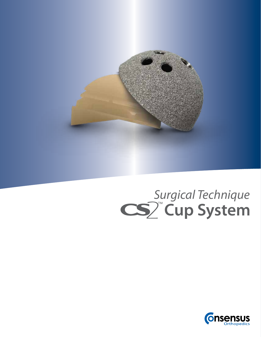

# **Cup System** *Surgical Technique*

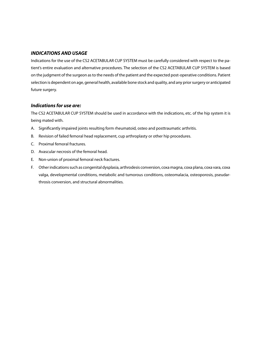### *INDICATIONS AND USAGE*

Indications for the use of the CS2 ACETABULAR CUP SYSTEM must be carefully considered with respect to the patient's entire evaluation and alternative procedures. The selection of the CS2 ACETABULAR CUP SYSTEM is based on the judgment of the surgeon as to the needs of the patient and the expected post-operative conditions. Patient selection is dependent on age, general health, available bone stock and quality, and any prior surgery or anticipated future surgery.

#### *Indications for use are:*

The CS2 ACETABULAR CUP SYSTEM should be used in accordance with the indications, etc. of the hip system it is being mated with.

- A. Significantly impaired joints resulting form rheumatoid, osteo and posttraumatic arthritis.
- B. Revision of failed femoral head replacement, cup arthroplasty or other hip procedures.
- C. Proximal femoral fractures.
- D. Avascular necrosis of the femoral head.
- E. Non-union of proximal femoral neck fractures.
- F. Other indications such as congenital dysplasia, arthrodesis conversion, coxa magna, coxa plana, coxa vara, coxa valga, developmental conditions, metabolic and tumorous conditions, osteomalacia, osteoporosis, pseudarthrosis conversion, and structural abnormalities.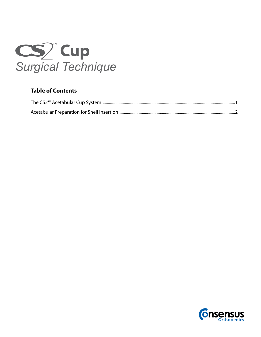

# **Table of Contents**

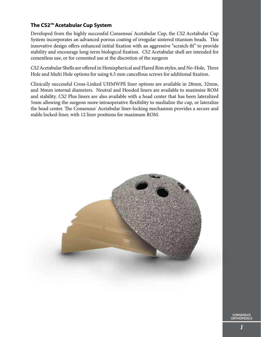## **The CS2™ Acetabular Cup System**

Developed from the highly successful Consensus<sup>®</sup> Acetabular Cup, the *CS2* Acetabular Cup System incorporates an advanced porous coating of irregular sintered titanium beads. This innovative design offers enhanced initial fixation with an aggressive "scratch-fit" to provide stability and encourage long-term biological fixation. *CS2* Acetabular shell are intended for cementless use, or for cemented use at the discretion of the surgeon

*CS2* Acetabular Shells are offered in Hemispherical and Flared Rim styles, and No-Hole, Three Hole and Multi Hole options for using 6.5 mm cancellous screws for additional fixation.

Clinically successful Cross-Linked UHMWPE liner options are available in 28mm, 32mm, and 36mm internal diameters. Neutral and Hooded liners are available to maximize ROM and stability. *CS2* Plus liners are also available with a head center that has been lateralized 5mm allowing the surgeon more intraoperative flexibility to medialize the cup, or lateralize the head center. The Consensus<sup>\*</sup> Acetabular liner-locking mechanism provides a secure and stable locked-liner, with 12 liner positions for maximum ROM.

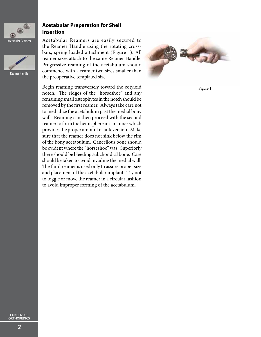

#### Acetabular Reamers



Reamer Handle

## **Acetabular Preparation for Shell Insertion**

Acetabular Reamers are easily secured to the Reamer Handle using the rotating crossbars, spring loaded attachment (Figure 1). All reamer sizes attach to the same Reamer Handle. Progressive reaming of the acetabulum should commence with a reamer two sizes smaller than the preoperative templated size.

Begin reaming transversely toward the cotyloid notch. The ridges of the "horseshoe" and any remaining small osteophytes in the notch should be removed by the first reamer. Always take care not to medialize the acetabulum past the medial bony wall. Reaming can then proceed with the second reamer to form the hemisphere in a manner which provides the proper amount of anteversion. Make sure that the reamer does not sink below the rim of the bony acetabulum. Cancellous bone should be evident where the "horseshoe" was. Superiorly there should be bleeding subchondral bone. Care should be taken to avoid invading the medial wall. The third reamer is used only to assure proper size and placement of the acetabular implant. Try not to toggle or move the reamer in a circular fashion to avoid improper forming of the acetabulum.



Figure 1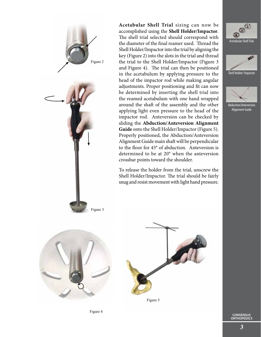

The shell trial selected should correspond with the diameter of the final reamer used. Thread the Shell Holder/Impactor into the trial by aligning the key (Figure 2) into the slots in the trial and thread the trial to the Shell Holder/Impactor (Figure 3 and Figure 4). The trial can then be positioned in the acetabulum by applying pressure to the head of the impactor rod while making angular adjustments. Proper positioning and fit can now be determined by inserting the shell trial into the reamed acetabulum with one hand wrapped around the shaft of the assembly and the other applying light even pressure to the head of the impactor rod. Anteversion can be checked by sliding the **Abduction/Anteversion Alignment Guide** onto the Shell Holder/Impactor (Figure 5). Properly positioned, the Abduction/Anteversion Alignment Guide main shaft will be perpendicular to the floor for 45° of abduction. Anteversion is determined to be at 20° when the anteversion crossbar points toward the shoulder.

**Acetabular Shell Trial** sizing can now be accomplished using the **Shell Holder/Impactor**.

To release the holder from the trial, unscrew the Shell Holder/Impactor. The trial should be fairly snug and resist movement with light hand pressure.



Shell Holder/ Impactor



Alignment Guide







Figure 5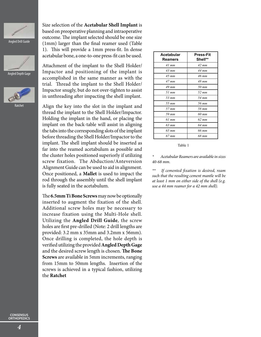

Angled Drill Guide





Ratchet

Size selection of the **Acetabular Shell Implant** is based on preoperative planning and intraoperative outcome. The implant selected should be one size (1mm) larger than the final reamer used (Table 1). This will provide a 1mm press-fit. In dense acetabular bone, a one-to-one press-fit can be used.

Attachment of the implant to the Shell Holder/ Impactor and positioning of the implant is accomplished in the same manner as with the trial. Thread the implant to the Shell Holder/ Impactor snugly, but do not over-tighten to assist in unthreading after impacting the shell implant.

Align the key into the slot in the implant and thread the implant to the Shell Holder/Impactor. Holding the implant in the hand, or placing the implant on the back-table will assist in aligning the tabs into the corresponding slots of the implant before threading the Shell Holder/Impactor to the implant. The shell implant should be inserted as far into the reamed acetabulum as possible and the cluster holes positioned superiorly if utilizing screw fixation. The Abduction/Anteversion Alignment Guide can be used to aid in alignment. Once positioned, a **Mallet** is used to impact the rod through the assembly until the shell implant is fully seated in the acetabulum.

The **6.5mm Ti Bone Screws** may now be optionally inserted to augment the fixation of the shell. Additional screw holes may be necessary to increase fixation using the Multi-Hole shell. Utilizing the **Angled Drill Guide**, the screw holes are first pre-drilled (Note: 2 drill lengths are provided: 3.2 mm x 35mm and 3.2mm x 56mm). Once drilling is completed, the hole depth is verified utilizing the provided **Angled Depth Gage** and the desired screw length is chosen. **The Bone Screws** are available in 5mm increments, ranging from 15mm to 50mm lengths. Insertion of the screws is achieved in a typical fashion, utilizing the **Ratchet**

| <b>Acetabular</b><br>Reamers | <b>Press-Fit</b><br>Shell** |
|------------------------------|-----------------------------|
| 41 mm                        | $42 \; mm$                  |
| $43$ mm                      | 44 mm                       |
| $45 \, \text{mm}$            | 46 mm                       |
| $47$ mm                      | 48 mm                       |
| $49$ mm                      | 50 mm                       |
| $51$ mm                      | 52 mm                       |
| 53 mm                        | 54 mm                       |
| 55 mm                        | 56 mm                       |
| $57$ mm                      | 58 mm                       |
| 59 mm                        | 60 mm                       |
| 61 mm                        | $62 \, \text{mm}$           |
| 63 mm                        | 64 mm                       |
| 65 mm                        | 66 mm                       |
| 67 mm                        | 68 mm                       |

#### Table 1

*\* Acetabular Reamers are available in sizes 40-68 mm.*

If cemented fixation is desired, ream *such that the resulting cement mantle will be at least 1 mm on either side of the shell (e.g. use a 44 mm reamer for a 42 mm shell).*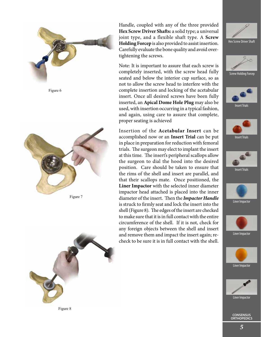



Figure 7



Handle, coupled with any of the three provided **Hex Screw Driver Shafts:** a solid type; a universal joint type, and a flexible shaft type. A **Screw Holding Forcep** is also provided to assist insertion. Carefully evaluate the bone quality and avoid overtightening the screws.

Note: It is important to assure that each screw is completely inserted, with the screw head fully seated and below the interior cup surface, so as not to allow the screw head to interfere with the complete insertion and locking of the acetabular insert. Once all desired screws have been fully inserted, an **Apical Dome Hole Plug** may also be used, with insertion occurring in a typical fashion, and again, using care to assure that complete, proper seating is achieved

Insertion of the **Acetabular Insert** can be accomplished now or an **Insert Trial** can be put in place in preparation for reduction with femoral trials. The surgeon may elect to implant the insert at this time. The insert's peripheral scallops allow the surgeon to dial the hood into the desired position. Care should be taken to ensure that the rims of the shell and insert are parallel, and that their scallops mate. Once positioned, the **Liner Impactor** with the selected inner diameter impactor head attached is placed into the inner diameter of the insert. Then the *Impactor Handle* is struck to firmly seat and lock the insert into the shell (Figure 8). The edges of the insert are checked to make sure that it is in full contact with the entire circumference of the shell. If it is not, check for any foreign objects between the shell and insert and remove them and impact the insert again; recheck to be sure it is in full contact with the shell.



Screw Holding Forcep



Insert Trials



Liner Impactor



Liner Impactor





**CONSENSUS ORTHOPEDICS**

Figure 8

*5*